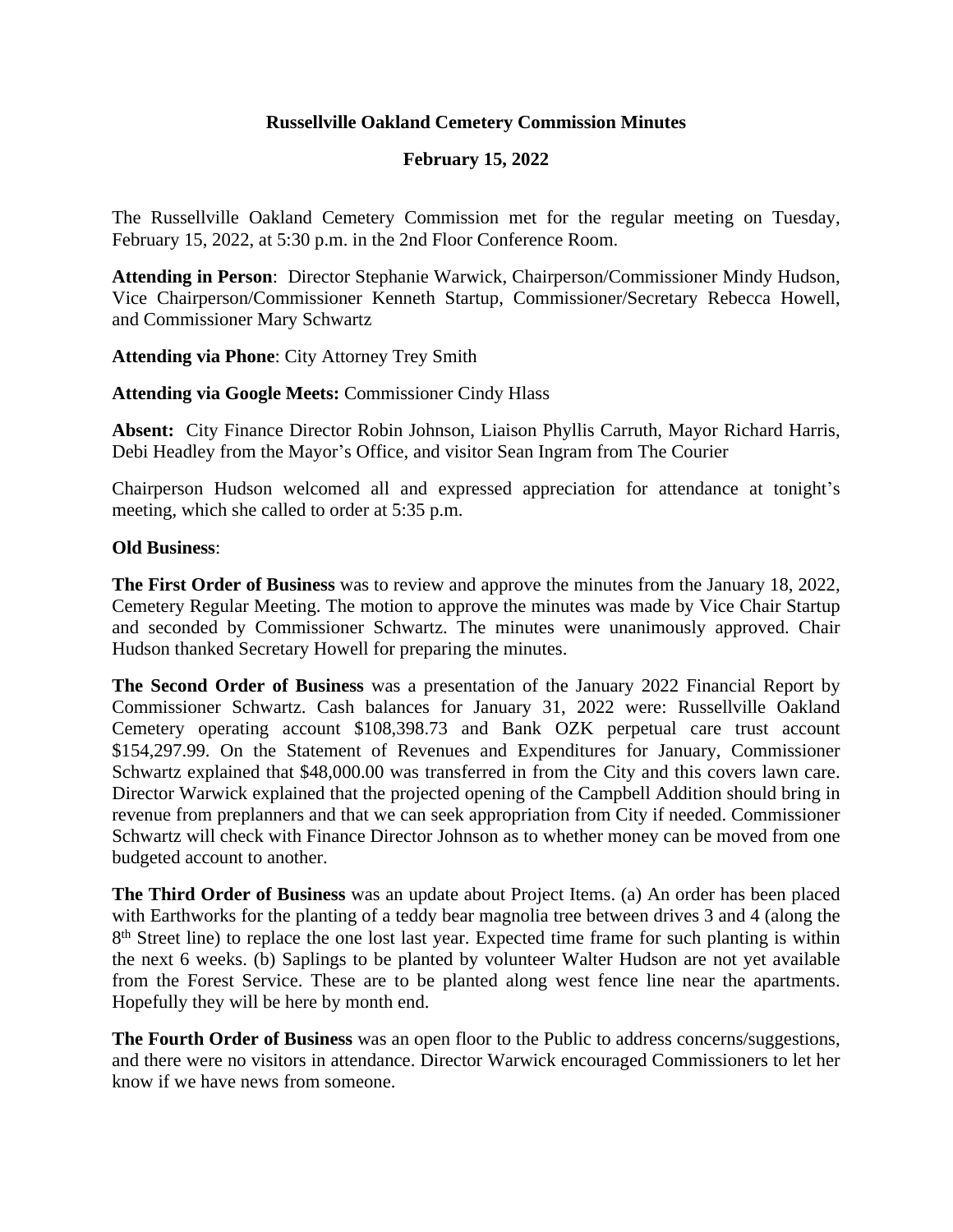## **Russellville Oakland Cemetery Commission Minutes**

## **February 15, 2022**

The Russellville Oakland Cemetery Commission met for the regular meeting on Tuesday, February 15, 2022, at 5:30 p.m. in the 2nd Floor Conference Room.

**Attending in Person**: Director Stephanie Warwick, Chairperson/Commissioner Mindy Hudson, Vice Chairperson/Commissioner Kenneth Startup, Commissioner/Secretary Rebecca Howell, and Commissioner Mary Schwartz

**Attending via Phone**: City Attorney Trey Smith

**Attending via Google Meets:** Commissioner Cindy Hlass

**Absent:** City Finance Director Robin Johnson, Liaison Phyllis Carruth, Mayor Richard Harris, Debi Headley from the Mayor's Office, and visitor Sean Ingram from The Courier

Chairperson Hudson welcomed all and expressed appreciation for attendance at tonight's meeting, which she called to order at 5:35 p.m.

## **Old Business**:

**The First Order of Business** was to review and approve the minutes from the January 18, 2022, Cemetery Regular Meeting. The motion to approve the minutes was made by Vice Chair Startup and seconded by Commissioner Schwartz. The minutes were unanimously approved. Chair Hudson thanked Secretary Howell for preparing the minutes.

**The Second Order of Business** was a presentation of the January 2022 Financial Report by Commissioner Schwartz. Cash balances for January 31, 2022 were: Russellville Oakland Cemetery operating account \$108,398.73 and Bank OZK perpetual care trust account \$154,297.99. On the Statement of Revenues and Expenditures for January, Commissioner Schwartz explained that \$48,000.00 was transferred in from the City and this covers lawn care. Director Warwick explained that the projected opening of the Campbell Addition should bring in revenue from preplanners and that we can seek appropriation from City if needed. Commissioner Schwartz will check with Finance Director Johnson as to whether money can be moved from one budgeted account to another.

**The Third Order of Business** was an update about Project Items. (a) An order has been placed with Earthworks for the planting of a teddy bear magnolia tree between drives 3 and 4 (along the 8<sup>th</sup> Street line) to replace the one lost last year. Expected time frame for such planting is within the next 6 weeks. (b) Saplings to be planted by volunteer Walter Hudson are not yet available from the Forest Service. These are to be planted along west fence line near the apartments. Hopefully they will be here by month end.

**The Fourth Order of Business** was an open floor to the Public to address concerns/suggestions, and there were no visitors in attendance. Director Warwick encouraged Commissioners to let her know if we have news from someone.